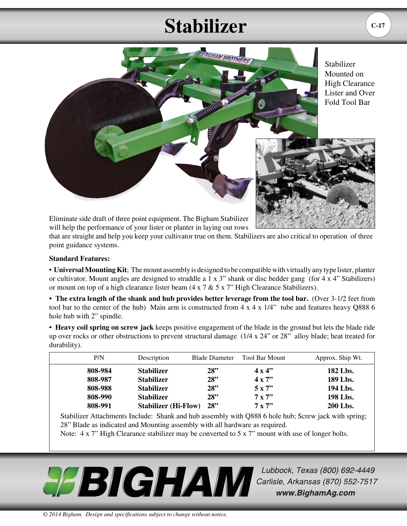## **Stabilizer**



Stabilizer Mounted on High Clearance Lister and Over Fold Tool Bar



Eliminate side draft of three point equipment. The Bigham Stabilizer will help the performance of your lister or planter in laying out rows

that are straight and help you keep your cultivator true on them. Stabilizers are also critical to operation of three point guidance systems.

## **Standard Features:**

• **Universal Mounting Kit**; The mount assembly is designed to be compatible with virtually any type lister, planter or cultivator. Mount angles are designed to straddle a 1 x  $3$ " shank or disc bedder gang (for 4 x  $4$ " Stabilizers) or mount on top of a high clearance lister beam (4 x 7 & 5 x 7" High Clearance Stabilizers).

• The extra length of the shank and hub provides better leverage from the tool bar. (Over 3-1/2 feet from tool bar to the center of the hub) Main arm is constructed from  $4 \times 4 \times 1/4$ " tube and features heavy Q888 6 hole hub with 2" spindle.

• **Heavy coil spring on screw jack** keeps positive engagement of the blade in the ground but lets the blade ride up over rocks or other obstructions to prevent structural damage (1/4 x 24" or 28" alloy blade; heat treated for durability).

| P/N     | Description                 | <b>Blade Diameter</b> | Tool Bar Mount | Approx. Ship Wt. |
|---------|-----------------------------|-----------------------|----------------|------------------|
| 808-984 | <b>Stabilizer</b>           | 28"                   | $4 \times 4$ " | 182 Lbs.         |
| 808-987 | <b>Stabilizer</b>           | 28"                   | $4 \times 7$   | 189 Lbs.         |
| 808-988 | <b>Stabilizer</b>           | 28"                   | $5 \times 7$   | 194 Lbs.         |
| 808-990 | <b>Stabilizer</b>           | 28"                   | $7 \times 7$   | 198 Lbs.         |
| 808-991 | <b>Stabilizer (Hi-Flow)</b> | 28"                   | $7 \times 7$   | <b>200 Lbs.</b>  |

Stabilizer Attachments Include: Shank and hub assembly with Q888 6 hole hub; Screw jack with spring; 28" Blade as indicated and Mounting assembly with all hardware as required.

Note:  $4 \times 7$ " High Clearance stabilizer may be converted to  $5 \times 7$ " mount with use of longer bolts.



Lubbock, Texas (800) 692-4449 Carlisle, Arkansas (870) 552-7517 www.BighamAg.com